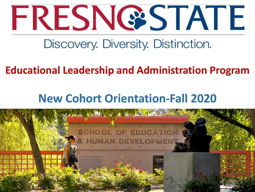

## **Educational Leadership and Administration Program**

# **New Cohort Orientation-Fall 2020**

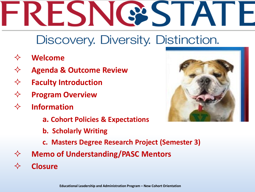- **Welcome**
- **Agenda & Outcome Review**
- **Faculty Introduction**
- **Program Overview**
- **Information** 
	- **a. Cohort Policies & Expectations**
	- **b. Scholarly Writing**
	- **c. Masters Degree Research Project (Semester 3)**
- **Memo of Understanding/PASC Mentors**
- **Closure**

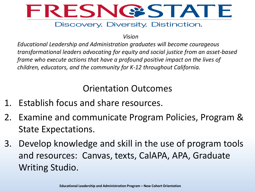

*Vision*

*Educational Leadership and Administration graduates will become courageous transformational leaders advocating for equity and social justice from an asset-based frame who execute actions that have a profound positive impact on the lives of children, educators, and the community for K-12 throughout California.*

#### Orientation Outcomes

- 1. Establish focus and share resources.
- 2. Examine and communicate Program Policies, Program & State Expectations.
- 3. Develop knowledge and skill in the use of program tools and resources: Canvas, texts, CalAPA, APA, Graduate Writing Studio.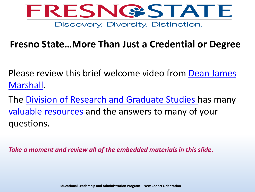

#### **Fresno State…More Than Just a Credential or Degree**

[Please review this brief welcome video from Dean James](https://youtu.be/vzL_i7d38t4) Marshall.

The [Division of Research and Graduate Studies](http://fresnostate.edu/academics/drgs/) has many [valuable resources a](http://fresnostate.edu/academics/gradstudies/index.html)nd the answers to many of your questions.

*Take a moment and review all of the embedded materials in this slide.*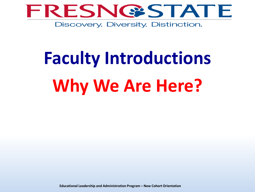

# **Faculty Introductions Why We Are Here?**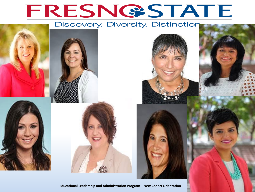# FRESNGSTATE

#### Discovery. Diversity. Distinction







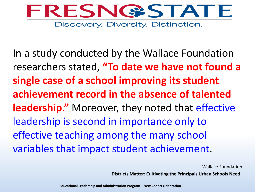

In a study conducted by the Wallace Foundation researchers stated, **"To date we have not found a single case of a school improving its student achievement record in the absence of talented leadership."** Moreover, they noted that effective leadership is second in importance only to effective teaching among the many school variables that impact student achievement.

Wallace Foundation

**Districts Matter: Cultivating the Principals Urban Schools Need**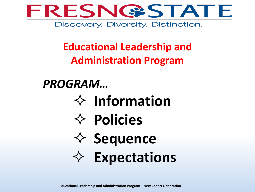

## **Educational Leadership and Administration Program**

# *PROGRAM…*

- **Information**
- **Policies**
- $♦$  **Sequence**
- **Expectations**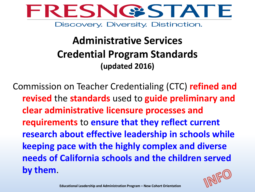

## **Administrative Services Credential Program Standards (updated 2016)**

Commission on Teacher Credentialing (CTC) **refined and revised** the **standards** used to **guide preliminary and clear administrative licensure processes and requirements** to **ensure that they reflect current research about effective leadership in schools while keeping pace with the highly complex and diverse needs of California schools and the children served by them**.

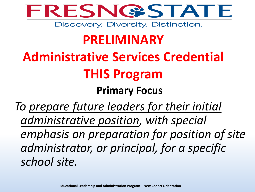

# **PRELIMINARY**

# **Administrative Services Credential THIS Program**

## **Primary Focus**

*To prepare future leaders for their initial administrative position, with special emphasis on preparation for position of site administrator, or principal, for a specific school site.*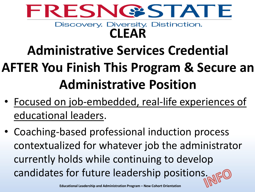

# **Administrative Services Credential AFTER You Finish This Program & Secure an Administrative Position**

- Focused on job-embedded, real-life experiences of educational leaders.
- Coaching-based professional induction process contextualized for whatever job the administrator currently holds while continuing to develop candidates for future leadership positions.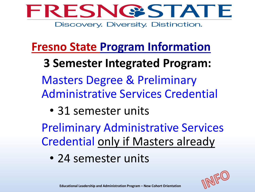

## **Fresno State Program Information**

**3 Semester Integrated Program:** Masters Degree & Preliminary Administrative Services Credential

• 31 semester units

Preliminary Administrative Services Credential only if Masters already

• 24 semester units

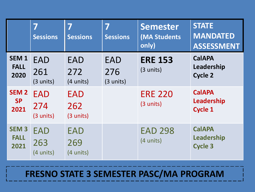|                                         | 7<br><b>Sessions</b>                     | 7<br><b>Sessions</b>                     | 7<br><b>Sessions</b>           | <b>Semester</b><br>(MA Students<br>only) | <b>STATE</b><br><b>MANDATED</b><br><b>ASSESSMENT</b> |
|-----------------------------------------|------------------------------------------|------------------------------------------|--------------------------------|------------------------------------------|------------------------------------------------------|
| SEM <sub>1</sub><br><b>FALL</b><br>2020 | <b>EAD</b><br>261<br>(3 units)           | EAD<br>272<br>(4 units)                  | <b>EAD</b><br>276<br>(3 units) | <b>ERE 153</b><br>$(3 \text{ units})$    | <b>CalAPA</b><br>Leadership<br><b>Cycle 2</b>        |
| <b>SEM 2</b><br><b>SP</b><br>2021       | <b>EAD</b><br>274<br>$(3$ units)         | EAD<br>262<br>(3 units)                  |                                | <b>ERE 220</b><br>(3 units)              | <b>CalAPA</b><br>Leadership<br><b>Cycle 1</b>        |
| <b>SEM3</b><br><b>FALL</b><br>2021      | <b>EAD</b><br>263<br>$(4 \text{ units})$ | <b>EAD</b><br>269<br>$(4 \text{ units})$ |                                | <b>EAD 298</b><br>$(4 \text{ units})$    | <b>CalAPA</b><br>Leadership<br><b>Cycle 3</b>        |

#### **FRESNO STATE 3 SEMESTER PASC/MA PROGRAM**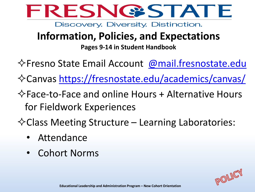

## **Information, Policies, and Expectations**

**Pages 9-14 in Student Handbook**

- $\diamond$ Fresno State Email Account [@mail.fresnostate.edu](mailto:.@mail.fresnostate.edu)
- Canvas<https://fresnostate.edu/academics/canvas/>
- $\Diamond$  Face-to-Face and online Hours + Alternative Hours for Fieldwork Experiences
- $\Diamond$  Class Meeting Structure Learning Laboratories:
	- Attendance
	- Cohort Norms

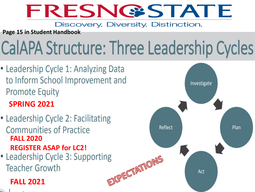# FRESNG'STATE

#### Discovery. Diversity. Distinction.

**Page 15 in Student Handbook**

# CalAPA Structure: Three Leadership Cycles

- Leadership Cycle 1: Analyzing Data to Inform School Improvement and **Promote Equity SPRING 2021**
- Leadership Cycle 2: Facilitating **Communities of Practice FALL 2020**
- **REGISTER ASAP for LC2!**<br>• Leadership Cycle 3: Supporting **Teacher Growth**

#### **FALL 2021**



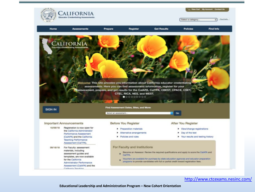

<http://www.ctcexams.nesinc.com/>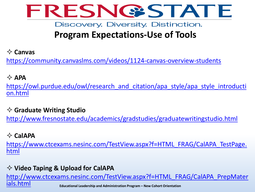

### **Program Expectations-Use of Tools**

#### **Canvas**

<https://community.canvaslms.com/videos/1124-canvas-overview-students>

#### $\Diamond$  APA

[https://owl.purdue.edu/owl/research\\_and\\_citation/apa\\_style/apa\\_style\\_introducti](https://owl.purdue.edu/owl/research_and_citation/apa_style/apa_style_introduction.html) on.html

#### **Graduate Writing Studio**

<http://www.fresnostate.edu/academics/gradstudies/graduatewritingstudio.html>

#### **CalAPA**

[https://www.ctcexams.nesinc.com/TestView.aspx?f=HTML\\_FRAG/CalAPA\\_TestPage.](https://www.ctcexams.nesinc.com/TestView.aspx?f=HTML_FRAG/CalAPA_TestPage.html) html

#### **Video Taping & Upload for CalAPA**

**Educational Leadership and Administration Program – New Cohort Orientation** [http://www.ctcexams.nesinc.com/TestView.aspx?f=HTML\\_FRAG/CalAPA\\_PrepMater](http://www.ctcexams.nesinc.com/TestView.aspx?f=HTML_FRAG/CalAPA_PrepMaterials.html) ials.html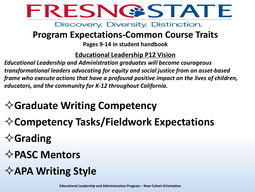

#### **Program Expectations-Common Course Traits**

**Pages 9-14 in student handbook**

#### **Educational Leadership P12 Vision**

*Educational Leadership and Administration graduates will become courageous transformational leaders advocating for equity and social justice from an asset-based frame who execute actions that have a profound positive impact on the lives of children, educators, and the community for K-12 throughout California.*

## **☆Graduate Writing Competency**

- **Competency Tasks/Fieldwork Expectations**
- **Grading**
- **PASC Mentors**
- **APA Writing Style**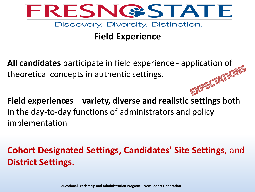

### **Field Experience**

**All candidates** participate in field experience - application of theoretical concepts in authentic settings. theoretical concepts in authentic settings.

**Field experiences** – **variety, diverse and realistic settings** both in the day-to-day functions of administrators and policy implementation

**Cohort Designated Settings, Candidates' Site Settings**, and **District Settings.**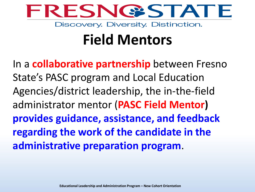

# **Field Mentors**

In a **collaborative partnership** between Fresno State's PASC program and Local Education Agencies/district leadership, the in-the-field administrator mentor (**PASC Field Mentor) provides guidance, assistance, and feedback regarding the work of the candidate in the administrative preparation program**.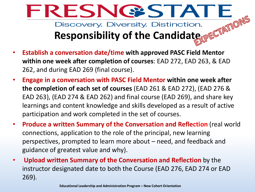

- **Establish a conversation date/time with approved PASC Field Mentor within one week after completion of courses**: EAD 272, EAD 263, & EAD 262, and during EAD 269 (final course).
- **Engage in a conversation with PASC Field Mentor within one week after the completion of each set of courses** (EAD 261 & EAD 272), (EAD 276 & EAD 263), (EAD 274 & EAD 262) and final course (EAD 269), and share key learnings and content knowledge and skills developed as a result of active participation and work completed in the set of courses.
- **Produce a written Summary of the Conversation and Reflection** (real world connections, application to the role of the principal, new learning perspectives, prompted to learn more about – need, and feedback and guidance of greatest value and why).
- **Upload written Summary of the Conversation and Reflection** by the instructor designated date to both the Course (EAD 276, EAD 274 or EAD 269).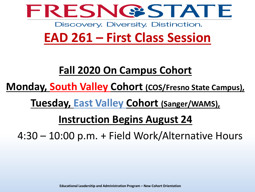

# **EAD 261 – First Class Session**

### **Fall 2020 On Campus Cohort**

**Monday, South Valley Cohort (COS/Fresno State Campus),** 

**Tuesday, East Valley Cohort (Sanger/WAMS),**

## **Instruction Begins August 24**

4:30 – 10:00 p.m. + Field Work/Alternative Hours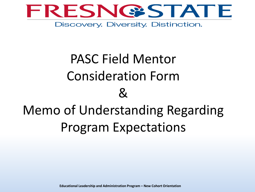

# PASC Field Mentor Consideration Form  $\mathcal{R}_{l}$ Memo of Understanding Regarding Program Expectations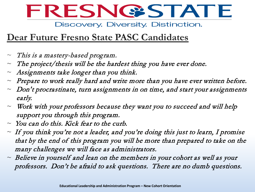

#### **Dear Future Fresno State PASC Candidates**

- $\sim$  This is a mastery-based program.
- $\sim$  The project/thesis will be the hardest thing you have ever done.
- $\sim$  Assignments take longer than you think.
- $\sim$  Prepare to work really hard and write more than you have ever written before.
- $\sim$  Don't procrastinate, turn assignments in on time, and start your assignments early.
- $\sim$  Work with your professors because they want you to succeed and will help support you through this program.
- $\sim$  You can do this. Kick fear to the curb.
- $\sim$  If you think you're not a leader, and you're doing this just to learn, I promise that by the end of this program you will be more than prepared to take on the many challenges we will face as administrators.
- $\sim$  Believe in yourself and lean on the members in your cohort as well as your professors. Don't be afraid to ask questions. There are no dumb questions.